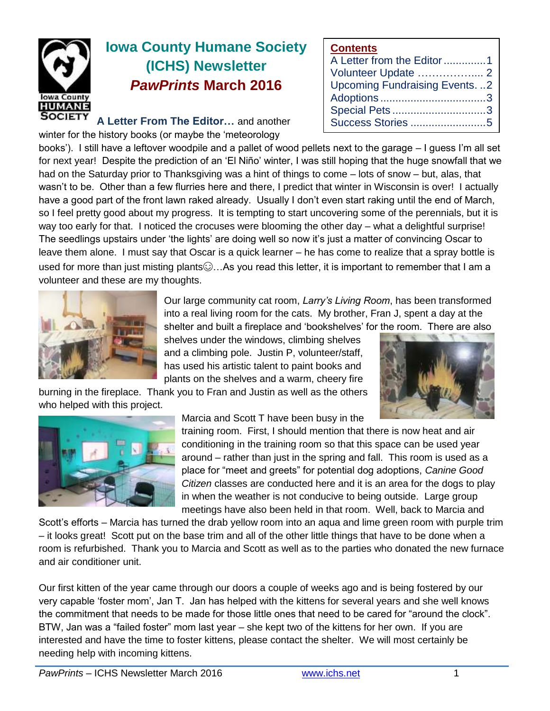

# **Iowa County Humane Society (ICHS) Newsletter** *PawPrints* **March 2016**

**A Letter From The Editor…** and another

winter for the history books (or maybe the 'meteorology

books'). I still have a leftover woodpile and a pallet of wood pellets next to the garage – I guess I'm all set for next year! Despite the prediction of an 'El Niño' winter, I was still hoping that the huge snowfall that we had on the Saturday prior to Thanksgiving was a hint of things to come – lots of snow – but, alas, that wasn't to be. Other than a few flurries here and there, I predict that winter in Wisconsin is over! I actually have a good part of the front lawn raked already. Usually I don't even start raking until the end of March, so I feel pretty good about my progress. It is tempting to start uncovering some of the perennials, but it is way too early for that. I noticed the crocuses were blooming the other day – what a delightful surprise! The seedlings upstairs under 'the lights' are doing well so now it's just a matter of convincing Oscar to leave them alone. I must say that Oscar is a quick learner – he has come to realize that a spray bottle is used for more than just misting plants $\odot$ ...As you read this letter, it is important to remember that I am a volunteer and these are my thoughts.



Our large community cat room, *Larry's Living Room*, has been transformed into a real living room for the cats. My brother, Fran J, spent a day at the

**Contents**

A Letter from the Editor..............1 Volunteer Update …………….... 2 Upcoming Fundraising Events. ..2 Adoptions ...................................3 Special Pets ...............................3 Success Stories .........................5

shelter and built a fireplace and 'bookshelves' for the room. There are also shelves under the windows, climbing shelves and a climbing pole. Justin P, volunteer/staff, has used his artistic talent to paint books and plants on the shelves and a warm, cheery fire

burning in the fireplace. Thank you to Fran and Justin as well as the others who helped with this project.





Marcia and Scott T have been busy in the

training room. First, I should mention that there is now heat and air conditioning in the training room so that this space can be used year around – rather than just in the spring and fall. This room is used as a place for "meet and greets" for potential dog adoptions, *Canine Good Citizen* classes are conducted here and it is an area for the dogs to play in when the weather is not conducive to being outside. Large group meetings have also been held in that room. Well, back to Marcia and

Scott's efforts – Marcia has turned the drab yellow room into an aqua and lime green room with purple trim – it looks great! Scott put on the base trim and all of the other little things that have to be done when a room is refurbished. Thank you to Marcia and Scott as well as to the parties who donated the new furnace and air conditioner unit.

Our first kitten of the year came through our doors a couple of weeks ago and is being fostered by our very capable 'foster mom', Jan T. Jan has helped with the kittens for several years and she well knows the commitment that needs to be made for those little ones that need to be cared for "around the clock". BTW, Jan was a "failed foster" mom last year – she kept two of the kittens for her own. If you are interested and have the time to foster kittens, please contact the shelter. We will most certainly be needing help with incoming kittens.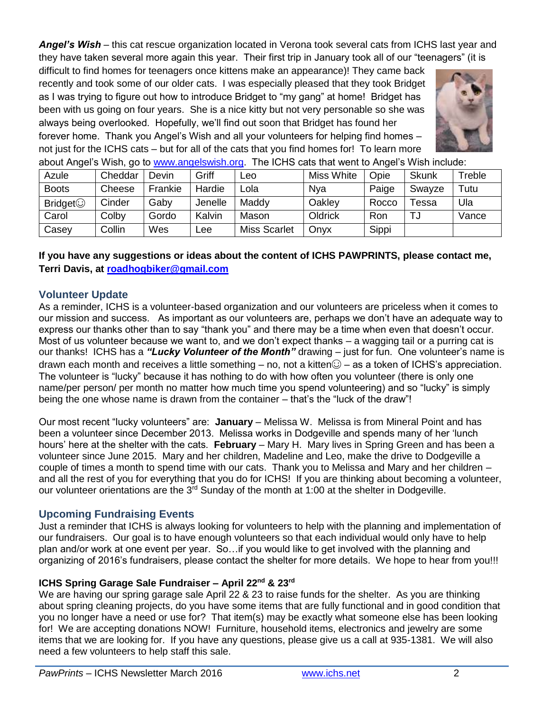*Angel's Wish* – this cat rescue organization located in Verona took several cats from ICHS last year and they have taken several more again this year. Their first trip in January took all of our "teenagers" (it is

difficult to find homes for teenagers once kittens make an appearance)! They came back recently and took some of our older cats. I was especially pleased that they took Bridget as I was trying to figure out how to introduce Bridget to "my gang" at home! Bridget has been with us going on four years. She is a nice kitty but not very personable so she was always being overlooked. Hopefully, we'll find out soon that Bridget has found her forever home. Thank you Angel's Wish and all your volunteers for helping find homes – not just for the ICHS cats – but for all of the cats that you find homes for! To learn more



about Angel's Wish, go to [www.angelswish.org.](http://www.angelswish.org/) The ICHS cats that went to Angel's Wish include:

|                | .       |         |         |                     |            |       |                   |            |
|----------------|---------|---------|---------|---------------------|------------|-------|-------------------|------------|
| Azule          | Cheddar | Devin   | Griff   | <b>Leo</b>          | Miss White | Opie  | <b>Skunk</b>      | Treble     |
| <b>Boots</b>   | Cheese  | Frankie | Hardie  | Lola                | Nya        | Paige | Swayze            | $\tau$ utu |
| <b>Bridget</b> | Cinder  | Gaby    | Jenelle | Maddy               | Oakley     | Rocco | <sup>-</sup> essa | Ula        |
| Carol          | Colby   | Gordo   | Kalvin  | Mason               | Oldrick    | Ron   | ا ت               | Vance      |
| Casey          | Collin  | Wes     | Lee     | <b>Miss Scarlet</b> | Onyx       | Sippi |                   |            |

## **If you have any suggestions or ideas about the content of ICHS PAWPRINTS, please contact me, Terri Davis, at [roadhogbiker@gmail.com](mailto:roadhogbiker@gmail.com)**

## **Volunteer Update**

As a reminder, ICHS is a volunteer-based organization and our volunteers are priceless when it comes to our mission and success. As important as our volunteers are, perhaps we don't have an adequate way to express our thanks other than to say "thank you" and there may be a time when even that doesn't occur. Most of us volunteer because we want to, and we don't expect thanks – a wagging tail or a purring cat is our thanks! ICHS has a *"Lucky Volunteer of the Month"* drawing – just for fun. One volunteer's name is drawn each month and receives a little something – no, not a kitten $\odot$  – as a token of ICHS's appreciation. The volunteer is "lucky" because it has nothing to do with how often you volunteer (there is only one name/per person/ per month no matter how much time you spend volunteering) and so "lucky" is simply being the one whose name is drawn from the container – that's the "luck of the draw"!

Our most recent "lucky volunteers" are: **January** – Melissa W. Melissa is from Mineral Point and has been a volunteer since December 2013. Melissa works in Dodgeville and spends many of her 'lunch hours' here at the shelter with the cats. **February** – Mary H. Mary lives in Spring Green and has been a volunteer since June 2015. Mary and her children, Madeline and Leo, make the drive to Dodgeville a couple of times a month to spend time with our cats. Thank you to Melissa and Mary and her children – and all the rest of you for everything that you do for ICHS! If you are thinking about becoming a volunteer, our volunteer orientations are the 3<sup>rd</sup> Sunday of the month at 1:00 at the shelter in Dodgeville.

# **Upcoming Fundraising Events**

Just a reminder that ICHS is always looking for volunteers to help with the planning and implementation of our fundraisers. Our goal is to have enough volunteers so that each individual would only have to help plan and/or work at one event per year. So…if you would like to get involved with the planning and organizing of 2016's fundraisers, please contact the shelter for more details. We hope to hear from you!!!

#### **ICHS Spring Garage Sale Fundraiser – April 22nd & 23rd**

We are having our spring garage sale April 22 & 23 to raise funds for the shelter. As you are thinking about spring cleaning projects, do you have some items that are fully functional and in good condition that you no longer have a need or use for? That item(s) may be exactly what someone else has been looking for! We are accepting donations NOW! Furniture, household items, electronics and jewelry are some items that we are looking for. If you have any questions, please give us a call at 935-1381. We will also need a few volunteers to help staff this sale.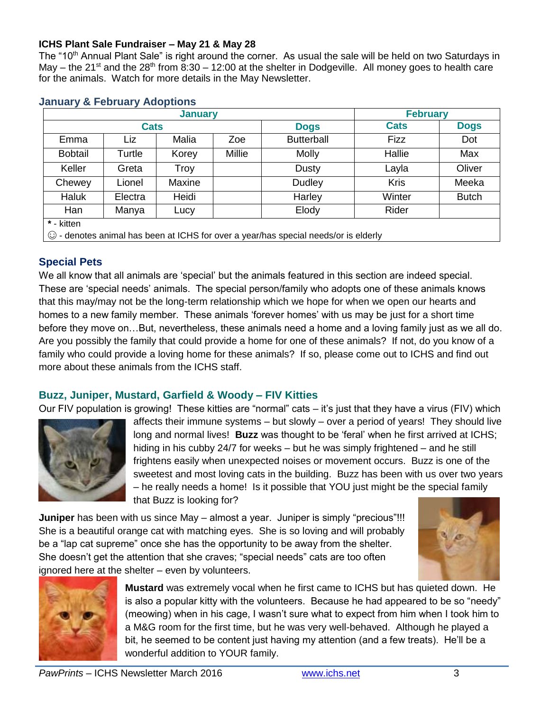#### **ICHS Plant Sale Fundraiser – May 21 & May 28**

The "10<sup>th</sup> Annual Plant Sale" is right around the corner. As usual the sale will be held on two Saturdays in May – the 21<sup>st</sup> and the 28<sup>th</sup> from 8:30 – 12:00 at the shelter in Dodgeville. All money goes to health care for the animals. Watch for more details in the May Newsletter.

|                                                                                           |             | <b>February</b> |        |                   |             |              |  |  |  |  |  |
|-------------------------------------------------------------------------------------------|-------------|-----------------|--------|-------------------|-------------|--------------|--|--|--|--|--|
|                                                                                           | <b>Cats</b> |                 |        | <b>Dogs</b>       | <b>Cats</b> | <b>Dogs</b>  |  |  |  |  |  |
| Emma                                                                                      | Liz         | Malia           | Zoe    | <b>Butterball</b> | <b>Fizz</b> | Dot          |  |  |  |  |  |
| <b>Bobtail</b>                                                                            | Turtle      | Korey           | Millie | <b>Molly</b>      | Hallie      | Max          |  |  |  |  |  |
| Keller                                                                                    | Greta       | Troy            |        | Dusty             | Layla       | Oliver       |  |  |  |  |  |
| Chewey                                                                                    | Lionel      | Maxine          |        | <b>Dudley</b>     | <b>Kris</b> | Meeka        |  |  |  |  |  |
| <b>Haluk</b>                                                                              | Electra     | Heidi           |        | Harley            | Winter      | <b>Butch</b> |  |  |  |  |  |
| Han                                                                                       | Manya       | Lucy            |        | Elody             | Rider       |              |  |  |  |  |  |
| * - kitten                                                                                |             |                 |        |                   |             |              |  |  |  |  |  |
| $\odot$ - denotes animal has been at ICHS for over a year/has special needs/or is elderly |             |                 |        |                   |             |              |  |  |  |  |  |

#### **January & February Adoptions**

# **Special Pets**

We all know that all animals are 'special' but the animals featured in this section are indeed special. These are 'special needs' animals. The special person/family who adopts one of these animals knows that this may/may not be the long-term relationship which we hope for when we open our hearts and homes to a new family member. These animals 'forever homes' with us may be just for a short time before they move on…But, nevertheless, these animals need a home and a loving family just as we all do. Are you possibly the family that could provide a home for one of these animals? If not, do you know of a family who could provide a loving home for these animals? If so, please come out to ICHS and find out more about these animals from the ICHS staff.

# **Buzz, Juniper, Mustard, Garfield & Woody – FIV Kitties**

Our FIV population is growing! These kitties are "normal" cats – it's just that they have a virus (FIV) which



affects their immune systems – but slowly – over a period of years! They should live long and normal lives! **Buzz** was thought to be 'feral' when he first arrived at ICHS; hiding in his cubby 24/7 for weeks – but he was simply frightened – and he still frightens easily when unexpected noises or movement occurs. Buzz is one of the sweetest and most loving cats in the building. Buzz has been with us over two years – he really needs a home! Is it possible that YOU just might be the special family that Buzz is looking for?

**Juniper** has been with us since May – almost a year. Juniper is simply "precious"!!! She is a beautiful orange cat with matching eyes. She is so loving and will probably be a "lap cat supreme" once she has the opportunity to be away from the shelter. She doesn't get the attention that she craves; "special needs" cats are too often ignored here at the shelter – even by volunteers.





**Mustard** was extremely vocal when he first came to ICHS but has quieted down. He is also a popular kitty with the volunteers. Because he had appeared to be so "needy" (meowing) when in his cage, I wasn't sure what to expect from him when I took him to a M&G room for the first time, but he was very well-behaved. Although he played a bit, he seemed to be content just having my attention (and a few treats). He'll be a wonderful addition to YOUR family.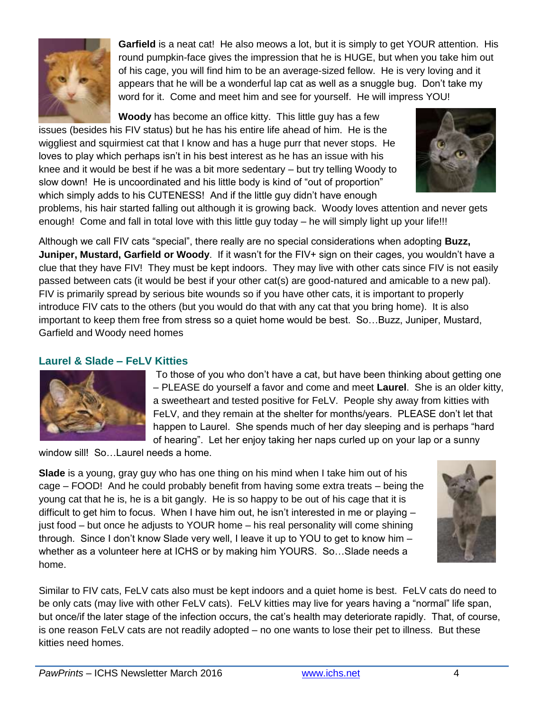

**Garfield** is a neat cat! He also meows a lot, but it is simply to get YOUR attention. His round pumpkin-face gives the impression that he is HUGE, but when you take him out of his cage, you will find him to be an average-sized fellow. He is very loving and it appears that he will be a wonderful lap cat as well as a snuggle bug. Don't take my word for it. Come and meet him and see for yourself. He will impress YOU!

**Woody** has become an office kitty. This little guy has a few

issues (besides his FIV status) but he has his entire life ahead of him. He is the wiggliest and squirmiest cat that I know and has a huge purr that never stops. He loves to play which perhaps isn't in his best interest as he has an issue with his knee and it would be best if he was a bit more sedentary – but try telling Woody to slow down! He is uncoordinated and his little body is kind of "out of proportion" which simply adds to his CUTENESS! And if the little guy didn't have enough



problems, his hair started falling out although it is growing back. Woody loves attention and never gets enough! Come and fall in total love with this little guy today – he will simply light up your life!!!

Although we call FIV cats "special", there really are no special considerations when adopting **Buzz, Juniper, Mustard, Garfield or Woody**. If it wasn't for the FIV+ sign on their cages, you wouldn't have a clue that they have FIV! They must be kept indoors. They may live with other cats since FIV is not easily passed between cats (it would be best if your other cat(s) are good-natured and amicable to a new pal). FIV is primarily spread by serious bite wounds so if you have other cats, it is important to properly introduce FIV cats to the others (but you would do that with any cat that you bring home). It is also important to keep them free from stress so a quiet home would be best. So…Buzz, Juniper, Mustard, Garfield and Woody need homes

# **Laurel & Slade – FeLV Kitties**



To those of you who don't have a cat, but have been thinking about getting one – PLEASE do yourself a favor and come and meet **Laurel**. She is an older kitty, a sweetheart and tested positive for FeLV. People shy away from kitties with FeLV, and they remain at the shelter for months/years. PLEASE don't let that happen to Laurel. She spends much of her day sleeping and is perhaps "hard of hearing". Let her enjoy taking her naps curled up on your lap or a sunny

window sill! So...Laurel needs a home.

**Slade** is a young, gray guy who has one thing on his mind when I take him out of his cage – FOOD! And he could probably benefit from having some extra treats – being the young cat that he is, he is a bit gangly. He is so happy to be out of his cage that it is difficult to get him to focus. When I have him out, he isn't interested in me or playing – just food – but once he adjusts to YOUR home – his real personality will come shining through. Since I don't know Slade very well, I leave it up to YOU to get to know him – whether as a volunteer here at ICHS or by making him YOURS. So…Slade needs a home.



Similar to FIV cats, FeLV cats also must be kept indoors and a quiet home is best. FeLV cats do need to be only cats (may live with other FeLV cats). FeLV kitties may live for years having a "normal" life span, but once/if the later stage of the infection occurs, the cat's health may deteriorate rapidly. That, of course, is one reason FeLV cats are not readily adopted – no one wants to lose their pet to illness. But these kitties need homes.